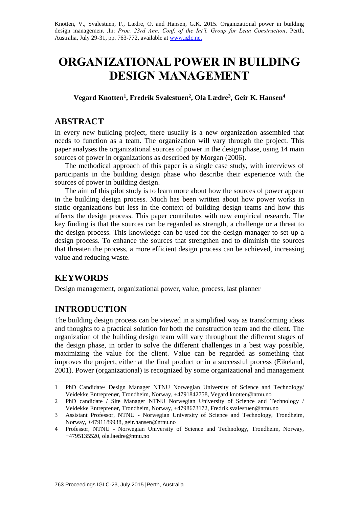Knotten, V., Svalestuen, F., Lædre, O. and Hansen, G.K. 2015. Organizational power in building design management .In: *Proc. 23rd Ann. Conf. of the Int'l. Group for Lean Construction*. Perth, Australia, July 29-31, pp. 763-772, available a[t www.iglc.net](http://www.iglc.net/)

# **ORGANIZATIONAL POWER IN BUILDING DESIGN MANAGEMENT**

**Vegard Knotten<sup>1</sup> , Fredrik Svalestuen<sup>2</sup> , Ola Lædre<sup>3</sup> , Geir K. Hansen<sup>4</sup>**

# **ABSTRACT**

In every new building project, there usually is a new organization assembled that needs to function as a team. The organization will vary through the project. This paper analyses the organizational sources of power in the design phase, using 14 main sources of power in organizations as described by Morgan (2006).

The methodical approach of this paper is a single case study, with interviews of participants in the building design phase who describe their experience with the sources of power in building design.

The aim of this pilot study is to learn more about how the sources of power appear in the building design process. Much has been written about how power works in static organizations but less in the context of building design teams and how this affects the design process. This paper contributes with new empirical research. The key finding is that the sources can be regarded as strength, a challenge or a threat to the design process. This knowledge can be used for the design manager to set up a design process. To enhance the sources that strengthen and to diminish the sources that threaten the process, a more efficient design process can be achieved, increasing value and reducing waste.

# **KEYWORDS**

1

Design management, organizational power, value, process, last planner

# **INTRODUCTION**

The building design process can be viewed in a simplified way as transforming ideas and thoughts to a practical solution for both the construction team and the client. The organization of the building design team will vary throughout the different stages of the design phase, in order to solve the different challenges in a best way possible, maximizing the value for the client. Value can be regarded as something that improves the project, either at the final product or in a successful process (Eikeland, 2001). Power (organizational) is recognized by some organizational and management

<sup>1</sup> PhD Candidate/ Design Manager NTNU Norwegian University of Science and Technology/ Veidekke Entreprenør, Trondheim, Norway, +4791842758, Vegard.knotten@ntnu.no

<sup>2</sup> PhD candidate / Site Manager NTNU Norwegian University of Science and Technology / Veidekke Entreprenør, Trondheim, Norway, +4798673172, Fredrik.svalestuen@ntnu.no

<sup>3</sup> Assistant Professor, NTNU - Norwegian University of Science and Technology, Trondheim, Norway, +4791189938, geir.hansen@ntnu.no

<sup>4</sup> Professor, NTNU - Norwegian University of Science and Technology, Trondheim, Norway, +4795135520, ola.laedre@ntnu.no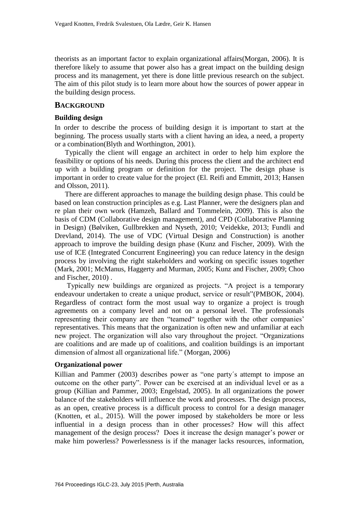theorists as an important factor to explain organizational affairs(Morgan, 2006). It is therefore likely to assume that power also has a great impact on the building design process and its management, yet there is done little previous research on the subject. The aim of this pilot study is to learn more about how the sources of power appear in the building design process.

#### **BACKGROUND**

#### **Building design**

In order to describe the process of building design it is important to start at the beginning. The process usually starts with a client having an idea, a need, a property or a combination(Blyth and Worthington, 2001).

Typically the client will engage an architect in order to help him explore the feasibility or options of his needs. During this process the client and the architect end up with a building program or definition for the project. The design phase is important in order to create value for the project (El. Reifi and Emmitt, 2013; Hansen and Olsson, 2011).

There are different approaches to manage the building design phase. This could be based on lean construction principles as e.g. Last Planner, were the designers plan and re plan their own work (Hamzeh, Ballard and Tommelein, 2009). This is also the basis of CDM (Collaborative design management), and CPD (Collaborative Planning in Design) (Bølviken, Gullbrekken and Nyseth, 2010; Veidekke, 2013; Fundli and Drevland, 2014). The use of VDC (Virtual Design and Construction) is another approach to improve the building design phase (Kunz and Fischer, 2009). With the use of ICE (Integrated Concurrent Engineering) you can reduce latency in the design process by involving the right stakeholders and working on specific issues together (Mark, 2001; McManus, Haggerty and Murman, 2005; Kunz and Fischer, 2009; Choo and Fischer, 2010) .

Typically new buildings are organized as projects. "A project is a temporary endeavour undertaken to create a unique product, service or result"(PMBOK, 2004). Regardless of contract form the most usual way to organize a project is trough agreements on a company level and not on a personal level. The professionals representing their company are then "teamed" together with the other companies' representatives. This means that the organization is often new and unfamiliar at each new project. The organization will also vary throughout the project. "Organizations are coalitions and are made up of coalitions, and coalition buildings is an important dimension of almost all organizational life." (Morgan, 2006)

#### **Organizational power**

Killian and Pammer (2003) describes power as "one party´s attempt to impose an outcome on the other party". Power can be exercised at an individual level or as a group (Killian and Pammer, 2003; Engelstad, 2005). In all organizations the power balance of the stakeholders will influence the work and processes. The design process, as an open, creative process is a difficult process to control for a design manager (Knotten, et al., 2015). Will the power imposed by stakeholders be more or less influential in a design process than in other processes? How will this affect management of the design process? Does it increase the design manager's power or make him powerless? Powerlessness is if the manager lacks resources, information,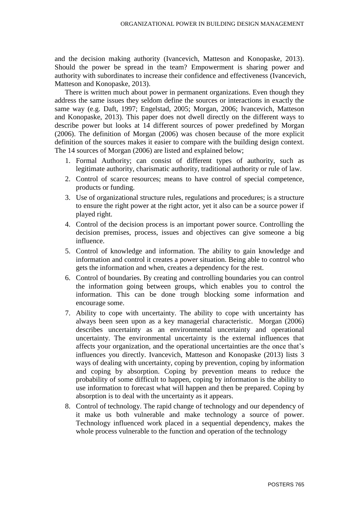and the decision making authority (Ivancevich, Matteson and Konopaske, 2013). Should the power be spread in the team? Empowerment is sharing power and authority with subordinates to increase their confidence and effectiveness (Ivancevich, Matteson and Konopaske, 2013).

There is written much about power in permanent organizations. Even though they address the same issues they seldom define the sources or interactions in exactly the same way (e.g. Daft, 1997; Engelstad, 2005; Morgan, 2006; Ivancevich, Matteson and Konopaske, 2013). This paper does not dwell directly on the different ways to describe power but looks at 14 different sources of power predefined by Morgan (2006). The definition of Morgan (2006) was chosen because of the more explicit definition of the sources makes it easier to compare with the building design context. The 14 sources of Morgan (2006) are listed and explained below;

- 1. Formal Authority; can consist of different types of authority, such as legitimate authority, charismatic authority, traditional authority or rule of law.
- 2. Control of scarce resources; means to have control of special competence, products or funding.
- 3. Use of organizational structure rules, regulations and procedures; is a structure to ensure the right power at the right actor, yet it also can be a source power if played right.
- 4. Control of the decision process is an important power source. Controlling the decision premises, process, issues and objectives can give someone a big influence.
- 5. Control of knowledge and information. The ability to gain knowledge and information and control it creates a power situation. Being able to control who gets the information and when, creates a dependency for the rest.
- 6. Control of boundaries. By creating and controlling boundaries you can control the information going between groups, which enables you to control the information. This can be done trough blocking some information and encourage some.
- 7. Ability to cope with uncertainty. The ability to cope with uncertainty has always been seen upon as a key managerial characteristic. Morgan (2006) describes uncertainty as an environmental uncertainty and operational uncertainty. The environmental uncertainty is the external influences that affects your organization, and the operational uncertainties are the once that's influences you directly. Ivancevich, Matteson and Konopaske (2013) lists 3 ways of dealing with uncertainty, coping by prevention, coping by information and coping by absorption. Coping by prevention means to reduce the probability of some difficult to happen, coping by information is the ability to use information to forecast what will happen and then be prepared. Coping by absorption is to deal with the uncertainty as it appears.
- 8. Control of technology. The rapid change of technology and our dependency of it make us both vulnerable and make technology a source of power. Technology influenced work placed in a sequential dependency, makes the whole process vulnerable to the function and operation of the technology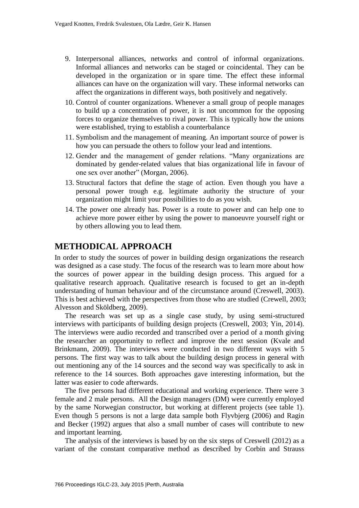- 9. Interpersonal alliances, networks and control of informal organizations. Informal alliances and networks can be staged or coincidental. They can be developed in the organization or in spare time. The effect these informal alliances can have on the organization will vary. These informal networks can affect the organizations in different ways, both positively and negatively.
- 10. Control of counter organizations. Whenever a small group of people manages to build up a concentration of power, it is not uncommon for the opposing forces to organize themselves to rival power. This is typically how the unions were established, trying to establish a counterbalance
- 11. Symbolism and the management of meaning. An important source of power is how you can persuade the others to follow your lead and intentions.
- 12. Gender and the management of gender relations. "Many organizations are dominated by gender-related values that bias organizational life in favour of one sex over another" (Morgan, 2006).
- 13. Structural factors that define the stage of action. Even though you have a personal power trough e.g. legitimate authority the structure of your organization might limit your possibilities to do as you wish.
- 14. The power one already has. Power is a route to power and can help one to achieve more power either by using the power to manoeuvre yourself right or by others allowing you to lead them.

# **METHODICAL APPROACH**

In order to study the sources of power in building design organizations the research was designed as a case study. The focus of the research was to learn more about how the sources of power appear in the building design process. This argued for a qualitative research approach. Qualitative research is focused to get an in-depth understanding of human behaviour and of the circumstance around (Creswell, 2003). This is best achieved with the perspectives from those who are studied (Crewell, 2003; Alvesson and Sköldberg, 2009).

The research was set up as a single case study, by using semi-structured interviews with participants of building design projects (Creswell, 2003; Yin, 2014). The interviews were audio recorded and transcribed over a period of a month giving the researcher an opportunity to reflect and improve the next session (Kvale and Brinkmann, 2009). The interviews were conducted in two different ways with 5 persons. The first way was to talk about the building design process in general with out mentioning any of the 14 sources and the second way was specifically to ask in reference to the 14 sources. Both approaches gave interesting information, but the latter was easier to code afterwards.

The five persons had different educational and working experience. There were 3 female and 2 male persons. All the Design managers (DM) were currently employed by the same Norwegian constructor, but working at different projects (see table 1). Even though 5 persons is not a large data sample both Flyvbjerg (2006) and Ragin and Becker (1992) argues that also a small number of cases will contribute to new and important learning.

The analysis of the interviews is based by on the six steps of Creswell (2012) as a variant of the constant comparative method as described by Corbin and Strauss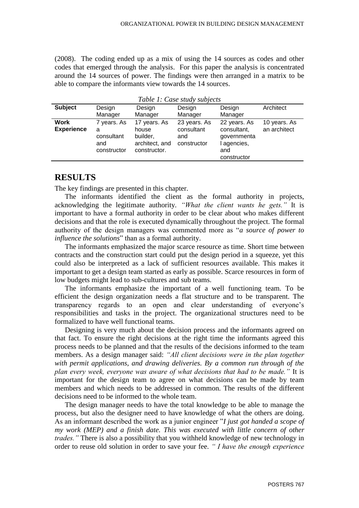(2008). The coding ended up as a mix of using the 14 sources as codes and other codes that emerged through the analysis. For this paper the analysis is concentrated around the 14 sources of power. The findings were then arranged in a matrix to be able to compare the informants view towards the 14 sources.

*Table 1: Case study subjects*

| Table 1: Case study subjects     |                                                      |                                                                     |                                                  |                                                                               |                              |  |  |
|----------------------------------|------------------------------------------------------|---------------------------------------------------------------------|--------------------------------------------------|-------------------------------------------------------------------------------|------------------------------|--|--|
| <b>Subject</b>                   | Design                                               | Design                                                              | Design                                           | Design                                                                        | Architect                    |  |  |
|                                  | Manager                                              | Manager                                                             | Manager                                          | Manager                                                                       |                              |  |  |
| <b>Work</b><br><b>Experience</b> | 7 years. As<br>a<br>consultant<br>and<br>constructor | 17 years. As<br>house<br>builder,<br>architect, and<br>constructor. | 23 years. As<br>consultant<br>and<br>constructor | 22 years. As<br>consultant,<br>governmenta<br>agencies,<br>and<br>constructor | 10 years. As<br>an architect |  |  |

# **RESULTS**

The key findings are presented in this chapter.

The informants identified the client as the formal authority in projects, acknowledging the legitimate authority. *"What the client wants he gets."* It is important to have a formal authority in order to be clear about who makes different decisions and that the role is executed dynamically throughout the project. The formal authority of the design managers was commented more as "*a source of power to influence the solutions*" than as a formal authority.

The informants emphasized the major scarce resource as time. Short time between contracts and the construction start could put the design period in a squeeze, yet this could also be interpreted as a lack of sufficient resources available. This makes it important to get a design team started as early as possible. Scarce resources in form of low budgets might lead to sub-cultures and sub teams.

The informants emphasize the important of a well functioning team. To be efficient the design organization needs a flat structure and to be transparent. The transparency regards to an open and clear understanding of everyone's responsibilities and tasks in the project. The organizational structures need to be formalized to have well functional teams.

Designing is very much about the decision process and the informants agreed on that fact. To ensure the right decisions at the right time the informants agreed this process needs to be planned and that the results of the decisions informed to the team members. As a design manager said: *"All client decisions were in the plan together with permit applications, and drawing deliveries. By a common run through of the plan every week, everyone was aware of what decisions that had to be made."* It is important for the design team to agree on what decisions can be made by team members and which needs to be addressed in common. The results of the different decisions need to be informed to the whole team.

The design manager needs to have the total knowledge to be able to manage the process, but also the designer need to have knowledge of what the others are doing. As an informant described the work as a junior engineer "*I just got handed a scope of my work (MEP) and a finish date. This was executed with little concern of other trades."* There is also a possibility that you withheld knowledge of new technology in order to reuse old solution in order to save your fee. *" I have the enough experience*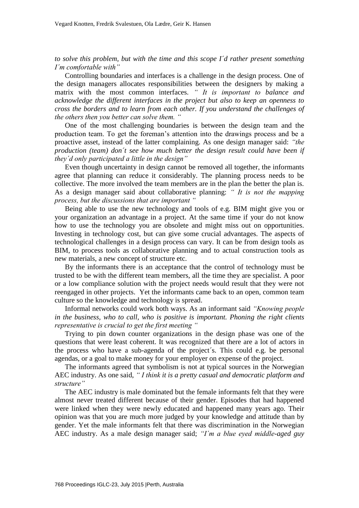*to solve this problem, but with the time and this scope I´d rather present something I´m comfortable with"*

Controlling boundaries and interfaces is a challenge in the design process. One of the design managers allocates responsibilities between the designers by making a matrix with the most common interfaces. *" It is important to balance and acknowledge the different interfaces in the project but also to keep an openness to cross the borders and to learn from each other. If you understand the challenges of the others then you better can solve them. "*

One of the most challenging boundaries is between the design team and the production team. To get the foreman's attention into the drawings process and be a proactive asset, instead of the latter complaining. As one design manager said: *"the production (team) don´t see how much better the design result could have been if they´d only participated a little in the design"*

Even though uncertainty in design cannot be removed all together, the informants agree that planning can reduce it considerably. The planning process needs to be collective. The more involved the team members are in the plan the better the plan is. As a design manager said about collaborative planning: *" It is not the mapping process, but the discussions that are important "*

Being able to use the new technology and tools of e.g. BIM might give you or your organization an advantage in a project. At the same time if your do not know how to use the technology you are obsolete and might miss out on opportunities. Investing in technology cost, but can give some crucial advantages. The aspects of technological challenges in a design process can vary. It can be from design tools as BIM, to process tools as collaborative planning and to actual construction tools as new materials, a new concept of structure etc.

By the informants there is an acceptance that the control of technology must be trusted to be with the different team members, all the time they are specialist. A poor or a low compliance solution with the project needs would result that they were not reengaged in other projects. Yet the informants came back to an open, common team culture so the knowledge and technology is spread.

Informal networks could work both ways. As an informant said *"Knowing people in the business, who to call, who is positive is important. Phoning the right clients representative is crucial to get the first meeting "*

Trying to pin down counter organizations in the design phase was one of the questions that were least coherent. It was recognized that there are a lot of actors in the process who have a sub-agenda of the project´s. This could e.g. be personal agendas, or a goal to make money for your employer on expense of the project.

The informants agreed that symbolism is not at typical sources in the Norwegian AEC industry. As one said, *" I think it is a pretty casual and democratic platform and structure"*

The AEC industry is male dominated but the female informants felt that they were almost never treated different because of their gender. Episodes that had happened were linked when they were newly educated and happened many years ago. Their opinion was that you are much more judged by your knowledge and attitude than by gender. Yet the male informants felt that there was discrimination in the Norwegian AEC industry. As a male design manager said; *"I´m a blue eyed middle-aged guy*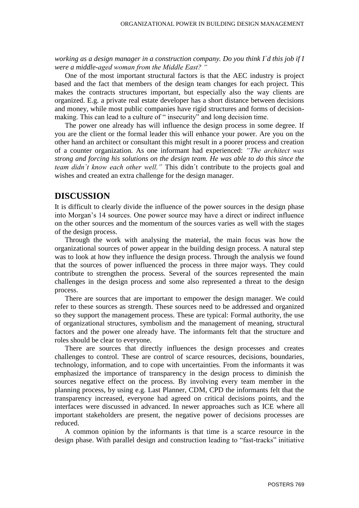*working as a design manager in a construction company. Do you think I´d this job if I were a middle-aged woman from the Middle East? "*

One of the most important structural factors is that the AEC industry is project based and the fact that members of the design team changes for each project. This makes the contracts structures important, but especially also the way clients are organized. E.g. a private real estate developer has a short distance between decisions and money, while most public companies have rigid structures and forms of decisionmaking. This can lead to a culture of " insecurity" and long decision time.

The power one already has will influence the design process in some degree. If you are the client or the formal leader this will enhance your power. Are you on the other hand an architect or consultant this might result in a poorer process and creation of a counter organization. As one informant had experienced: *"The architect was strong and forcing his solutions on the design team. He was able to do this since the team didn´t know each other well."* This didn´t contribute to the projects goal and wishes and created an extra challenge for the design manager.

# **DISCUSSION**

It is difficult to clearly divide the influence of the power sources in the design phase into Morgan's 14 sources. One power source may have a direct or indirect influence on the other sources and the momentum of the sources varies as well with the stages of the design process.

Through the work with analysing the material, the main focus was how the organizational sources of power appear in the building design process. A natural step was to look at how they influence the design process. Through the analysis we found that the sources of power influenced the process in three major ways. They could contribute to strengthen the process. Several of the sources represented the main challenges in the design process and some also represented a threat to the design process.

There are sources that are important to empower the design manager. We could refer to these sources as strength. These sources need to be addressed and organized so they support the management process. These are typical: Formal authority, the use of organizational structures, symbolism and the management of meaning, structural factors and the power one already have. The informants felt that the structure and roles should be clear to everyone.

There are sources that directly influences the design processes and creates challenges to control. These are control of scarce resources, decisions, boundaries, technology, information, and to cope with uncertainties. From the informants it was emphasized the importance of transparency in the design process to diminish the sources negative effect on the process. By involving every team member in the planning process, by using e.g. Last Planner, CDM, CPD the informants felt that the transparency increased, everyone had agreed on critical decisions points, and the interfaces were discussed in advanced. In newer approaches such as ICE where all important stakeholders are present, the negative power of decisions processes are reduced.

A common opinion by the informants is that time is a scarce resource in the design phase. With parallel design and construction leading to "fast-tracks" initiative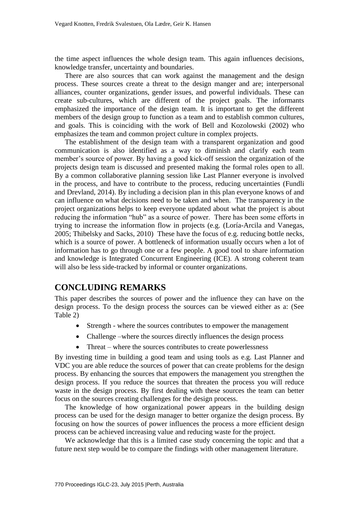the time aspect influences the whole design team. This again influences decisions, knowledge transfer, uncertainty and boundaries.

There are also sources that can work against the management and the design process. These sources create a threat to the design manger and are; interpersonal alliances, counter organizations, gender issues, and powerful individuals. These can create sub-cultures, which are different of the project goals. The informants emphasized the importance of the design team. It is important to get the different members of the design group to function as a team and to establish common cultures, and goals. This is coinciding with the work of Bell and Kozolowski (2002) who emphasizes the team and common project culture in complex projects.

The establishment of the design team with a transparent organization and good communication is also identified as a way to diminish and clarify each team member's source of power. By having a good kick-off session the organization of the projects design team is discussed and presented making the formal roles open to all. By a common collaborative planning session like Last Planner everyone is involved in the process, and have to contribute to the process, reducing uncertainties (Fundli and Drevland, 2014). By including a decision plan in this plan everyone knows of and can influence on what decisions need to be taken and when. The transparency in the project organizations helps to keep everyone updated about what the project is about reducing the information "hub" as a source of power. There has been some efforts in trying to increase the information flow in projects (e.g. (Loría-Arcila and Vanegas, 2005; Thibelsky and Sacks, 2010) These have the focus of e.g. reducing bottle necks, which is a source of power. A bottleneck of information usually occurs when a lot of information has to go through one or a few people. A good tool to share information and knowledge is Integrated Concurrent Engineering (ICE). A strong coherent team will also be less side-tracked by informal or counter organizations.

# **CONCLUDING REMARKS**

This paper describes the sources of power and the influence they can have on the design process. To the design process the sources can be viewed either as a: (See Table 2)

- Strength where the sources contributes to empower the management
- Challenge –where the sources directly influences the design process
- Threat where the sources contributes to create powerlessness

By investing time in building a good team and using tools as e.g. Last Planner and VDC you are able reduce the sources of power that can create problems for the design process. By enhancing the sources that empowers the management you strengthen the design process. If you reduce the sources that threaten the process you will reduce waste in the design process. By first dealing with these sources the team can better focus on the sources creating challenges for the design process.

The knowledge of how organizational power appears in the building design process can be used for the design manager to better organize the design process. By focusing on how the sources of power influences the process a more efficient design process can be achieved increasing value and reducing waste for the project.

We acknowledge that this is a limited case study concerning the topic and that a future next step would be to compare the findings with other management literature.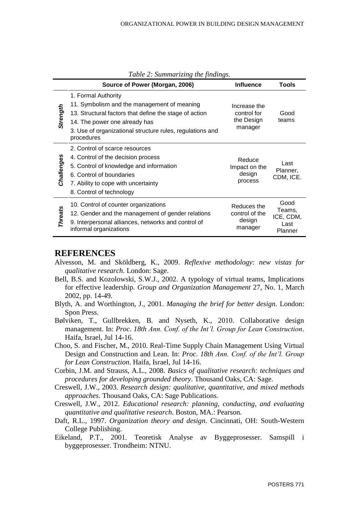|                | Source of Power (Morgan, 2006)                                                                                                                                                                                                           | <b>Influence</b>                                     | <b>Tools</b>                                   |
|----------------|------------------------------------------------------------------------------------------------------------------------------------------------------------------------------------------------------------------------------------------|------------------------------------------------------|------------------------------------------------|
| Strength       | 1. Formal Authority<br>11. Symbolism and the management of meaning<br>13. Structural factors that define the stage of action<br>14. The power one already has<br>3. Use of organizational structure rules, regulations and<br>procedures | Increase the<br>control for<br>the Design<br>manager | Good<br>teams                                  |
| Challenges     | 2. Control of scarce resources<br>4. Control of the decision process<br>5. Control of knowledge and information<br>6. Control of boundaries<br>7. Ability to cope with uncertainty<br>8. Control of technology                           | Reduce<br>Impact on the<br>design<br>process         | Last<br>Planner,<br>CDM, ICE.                  |
| <b>Threats</b> | 10. Control of counter organizations<br>12. Gender and the management of gender relations<br>9. Interpersonal alliances, networks and control of<br>informal organizations                                                               | Reduces the<br>control of the<br>design<br>manager   | Good<br>Teams,<br>ICE, CDM,<br>Last<br>Planner |

*Table 2: Summarizing the findings.*

#### **REFERENCES**

- Alvesson, M. and Sköldberg, K., 2009. *Reflexive methodology: new vistas for qualitative research*. London: Sage.
- Bell, B.S. and Kozolowski, S.W.J., 2002. A typology of virtual teams, Implications for effective leadership. *Group and Organization Management* 27, No. 1, March 2002, pp. 14-49.
- Blyth, A. and Worthington, J., 2001. *Managing the brief for better design*. London: Spon Press.
- Bølviken, T., Gullbrekken, B. and Nyseth, K., 2010. Collaborative design management. In: *Proc*. *18th Ann. Conf. of the Int'l. Group for Lean Construction*. Haifa, Israel, Jul 14-16.
- Choo, S. and Fischer, M., 2010. Real-Time Supply Chain Management Using Virtual Design and Construction and Lean. In: *Proc*. *18th Ann. Conf. of the Int'l. Group for Lean Construction*. Haifa, Israel, Jul 14-16.
- Corbin, J.M. and Strauss, A.L., 2008. *Basics of qualitative research: techniques and procedures for developing grounded theory*. Thousand Oaks, CA: Sage.
- Creswell, J.W., 2003. *Research design: qualitative, quantitative, and mixed methods approaches*. Thousand Oaks, CA: Sage Publications.
- Creswell, J.W., 2012. *Educational research: planning, conducting, and evaluating quantitative and qualitative research*. Boston, MA.: Pearson.
- Daft, R.L., 1997. *Organization theory and design*. Cincinnati, OH: South-Western College Publishing.
- Eikeland, P.T., 2001. Teoretisk Analyse av Byggeprosesser. Samspill i byggeprosesser. Trondheim: NTNU.